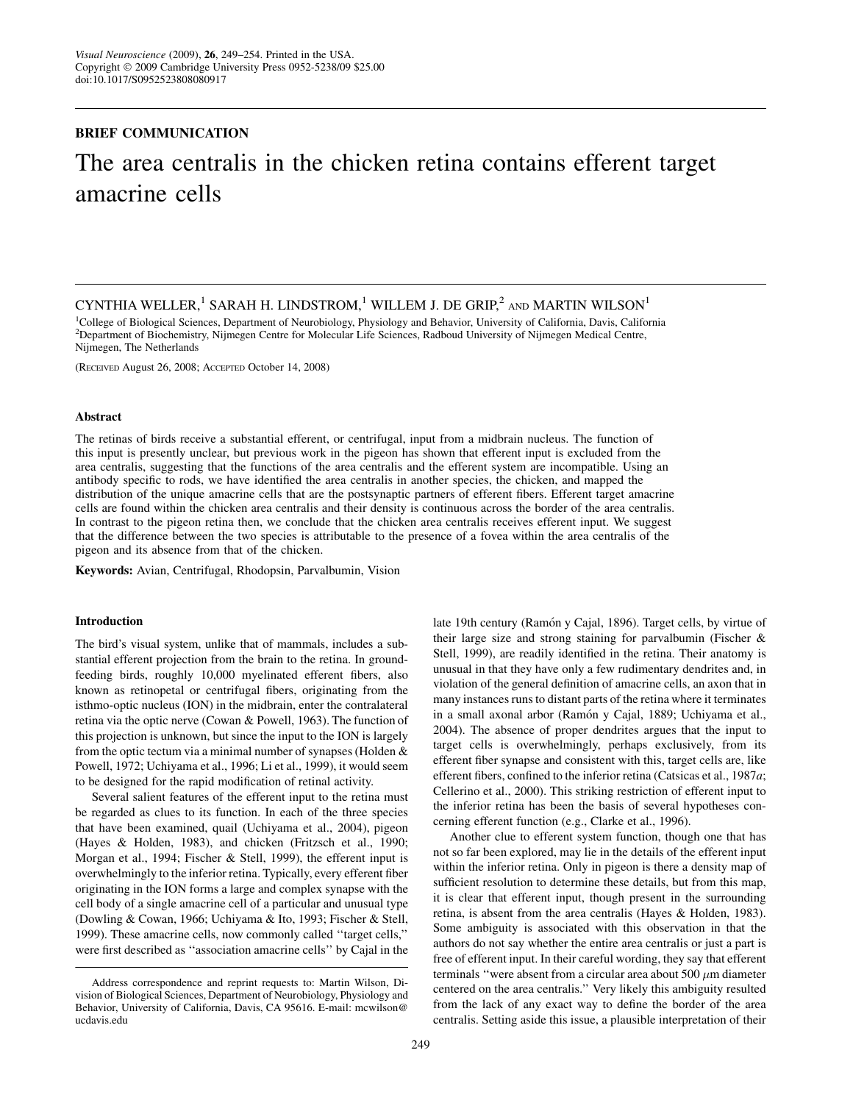## BRIEF COMMUNICATION

# The area centralis in the chicken retina contains efferent target amacrine cells

CYNTHIA WELLER,<sup>1</sup> SARAH H. LINDSTROM,<sup>1</sup> WILLEM J. DE GRIP,<sup>2</sup> AND MARTIN WILSON<sup>1</sup>

1 College of Biological Sciences, Department of Neurobiology, Physiology and Behavior, University of California, Davis, California 2 Department of Biochemistry, Nijmegen Centre for Molecular Life Sciences, Radboud University of Nijmegen Medical Centre, Nijmegen, The Netherlands

(RECEIVED August 26, 2008; ACCEPTED October 14, 2008)

### Abstract

The retinas of birds receive a substantial efferent, or centrifugal, input from a midbrain nucleus. The function of this input is presently unclear, but previous work in the pigeon has shown that efferent input is excluded from the area centralis, suggesting that the functions of the area centralis and the efferent system are incompatible. Using an antibody specific to rods, we have identified the area centralis in another species, the chicken, and mapped the distribution of the unique amacrine cells that are the postsynaptic partners of efferent fibers. Efferent target amacrine cells are found within the chicken area centralis and their density is continuous across the border of the area centralis. In contrast to the pigeon retina then, we conclude that the chicken area centralis receives efferent input. We suggest that the difference between the two species is attributable to the presence of a fovea within the area centralis of the pigeon and its absence from that of the chicken.

Keywords: Avian, Centrifugal, Rhodopsin, Parvalbumin, Vision

## Introduction

The bird's visual system, unlike that of mammals, includes a substantial efferent projection from the brain to the retina. In groundfeeding birds, roughly 10,000 myelinated efferent fibers, also known as retinopetal or centrifugal fibers, originating from the isthmo-optic nucleus (ION) in the midbrain, enter the contralateral retina via the optic nerve (Cowan & Powell, 1963). The function of this projection is unknown, but since the input to the ION is largely from the optic tectum via a minimal number of synapses (Holden & Powell, 1972; Uchiyama et al., 1996; Li et al., 1999), it would seem to be designed for the rapid modification of retinal activity.

Several salient features of the efferent input to the retina must be regarded as clues to its function. In each of the three species that have been examined, quail (Uchiyama et al., 2004), pigeon (Hayes & Holden, 1983), and chicken (Fritzsch et al., 1990; Morgan et al., 1994; Fischer & Stell, 1999), the efferent input is overwhelmingly to the inferior retina. Typically, every efferent fiber originating in the ION forms a large and complex synapse with the cell body of a single amacrine cell of a particular and unusual type (Dowling & Cowan, 1966; Uchiyama & Ito, 1993; Fischer & Stell, 1999). These amacrine cells, now commonly called ''target cells,'' were first described as ''association amacrine cells'' by Cajal in the late 19th century (Ramón y Cajal, 1896). Target cells, by virtue of their large size and strong staining for parvalbumin (Fischer & Stell, 1999), are readily identified in the retina. Their anatomy is unusual in that they have only a few rudimentary dendrites and, in violation of the general definition of amacrine cells, an axon that in many instances runs to distant parts of the retina where it terminates in a small axonal arbor (Ramón y Cajal, 1889; Uchiyama et al., 2004). The absence of proper dendrites argues that the input to target cells is overwhelmingly, perhaps exclusively, from its efferent fiber synapse and consistent with this, target cells are, like efferent fibers, confined to the inferior retina (Catsicas et al., 1987a; Cellerino et al., 2000). This striking restriction of efferent input to the inferior retina has been the basis of several hypotheses concerning efferent function (e.g., Clarke et al., 1996).

Another clue to efferent system function, though one that has not so far been explored, may lie in the details of the efferent input within the inferior retina. Only in pigeon is there a density map of sufficient resolution to determine these details, but from this map, it is clear that efferent input, though present in the surrounding retina, is absent from the area centralis (Hayes & Holden, 1983). Some ambiguity is associated with this observation in that the authors do not say whether the entire area centralis or just a part is free of efferent input. In their careful wording, they say that efferent terminals "were absent from a circular area about 500  $\mu$ m diameter centered on the area centralis.'' Very likely this ambiguity resulted from the lack of any exact way to define the border of the area centralis. Setting aside this issue, a plausible interpretation of their

Address correspondence and reprint requests to: Martin Wilson, Division of Biological Sciences, Department of Neurobiology, Physiology and Behavior, University of California, Davis, CA 95616. E-mail: mcwilson@ ucdavis.edu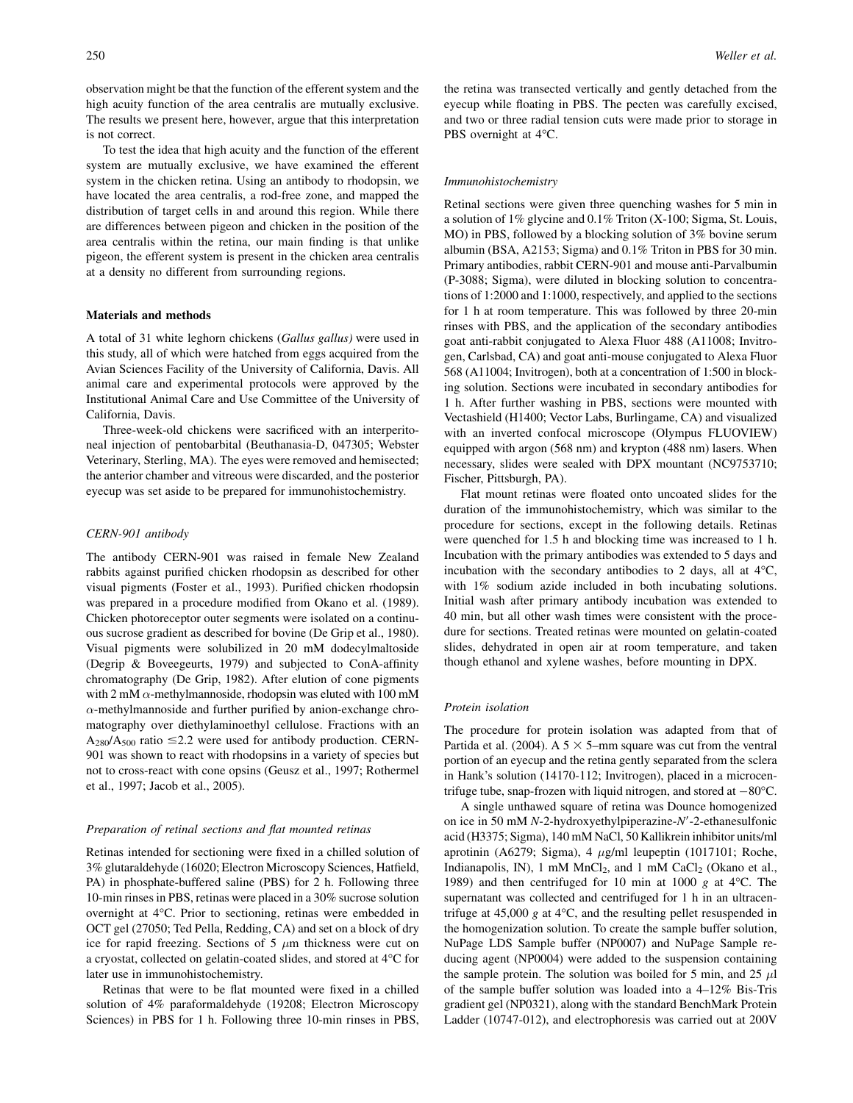observation might be that the function of the efferent system and the high acuity function of the area centralis are mutually exclusive. The results we present here, however, argue that this interpretation is not correct.

To test the idea that high acuity and the function of the efferent system are mutually exclusive, we have examined the efferent system in the chicken retina. Using an antibody to rhodopsin, we have located the area centralis, a rod-free zone, and mapped the distribution of target cells in and around this region. While there are differences between pigeon and chicken in the position of the area centralis within the retina, our main finding is that unlike pigeon, the efferent system is present in the chicken area centralis at a density no different from surrounding regions.

## Materials and methods

A total of 31 white leghorn chickens (Gallus gallus) were used in this study, all of which were hatched from eggs acquired from the Avian Sciences Facility of the University of California, Davis. All animal care and experimental protocols were approved by the Institutional Animal Care and Use Committee of the University of California, Davis.

Three-week-old chickens were sacrificed with an interperitoneal injection of pentobarbital (Beuthanasia-D, 047305; Webster Veterinary, Sterling, MA). The eyes were removed and hemisected; the anterior chamber and vitreous were discarded, and the posterior eyecup was set aside to be prepared for immunohistochemistry.

## CERN-901 antibody

The antibody CERN-901 was raised in female New Zealand rabbits against purified chicken rhodopsin as described for other visual pigments (Foster et al., 1993). Purified chicken rhodopsin was prepared in a procedure modified from Okano et al. (1989). Chicken photoreceptor outer segments were isolated on a continuous sucrose gradient as described for bovine (De Grip et al., 1980). Visual pigments were solubilized in 20 mM dodecylmaltoside (Degrip & Boveegeurts, 1979) and subjected to ConA-affinity chromatography (De Grip, 1982). After elution of cone pigments with 2 mM  $\alpha$ -methylmannoside, rhodopsin was eluted with 100 mM  $\alpha$ -methylmannoside and further purified by anion-exchange chromatography over diethylaminoethyl cellulose. Fractions with an  $A_{280}/A_{500}$  ratio  $\leq$  2.2 were used for antibody production. CERN-901 was shown to react with rhodopsins in a variety of species but not to cross-react with cone opsins (Geusz et al., 1997; Rothermel et al., 1997; Jacob et al., 2005).

#### Preparation of retinal sections and flat mounted retinas

Retinas intended for sectioning were fixed in a chilled solution of 3% glutaraldehyde (16020; Electron Microscopy Sciences, Hatfield, PA) in phosphate-buffered saline (PBS) for 2 h. Following three 10-min rinses in PBS, retinas were placed in a 30% sucrose solution overnight at 4°C. Prior to sectioning, retinas were embedded in OCT gel (27050; Ted Pella, Redding, CA) and set on a block of dry ice for rapid freezing. Sections of 5  $\mu$ m thickness were cut on a cryostat, collected on gelatin-coated slides, and stored at 4°C for later use in immunohistochemistry.

Retinas that were to be flat mounted were fixed in a chilled solution of 4% paraformaldehyde (19208; Electron Microscopy Sciences) in PBS for 1 h. Following three 10-min rinses in PBS, the retina was transected vertically and gently detached from the eyecup while floating in PBS. The pecten was carefully excised, and two or three radial tension cuts were made prior to storage in PBS overnight at 4°C.

## Immunohistochemistry

Retinal sections were given three quenching washes for 5 min in a solution of 1% glycine and 0.1% Triton (X-100; Sigma, St. Louis, MO) in PBS, followed by a blocking solution of 3% bovine serum albumin (BSA, A2153; Sigma) and 0.1% Triton in PBS for 30 min. Primary antibodies, rabbit CERN-901 and mouse anti-Parvalbumin (P-3088; Sigma), were diluted in blocking solution to concentrations of 1:2000 and 1:1000, respectively, and applied to the sections for 1 h at room temperature. This was followed by three 20-min rinses with PBS, and the application of the secondary antibodies goat anti-rabbit conjugated to Alexa Fluor 488 (A11008; Invitrogen, Carlsbad, CA) and goat anti-mouse conjugated to Alexa Fluor 568 (A11004; Invitrogen), both at a concentration of 1:500 in blocking solution. Sections were incubated in secondary antibodies for 1 h. After further washing in PBS, sections were mounted with Vectashield (H1400; Vector Labs, Burlingame, CA) and visualized with an inverted confocal microscope (Olympus FLUOVIEW) equipped with argon (568 nm) and krypton (488 nm) lasers. When necessary, slides were sealed with DPX mountant (NC9753710; Fischer, Pittsburgh, PA).

Flat mount retinas were floated onto uncoated slides for the duration of the immunohistochemistry, which was similar to the procedure for sections, except in the following details. Retinas were quenched for 1.5 h and blocking time was increased to 1 h. Incubation with the primary antibodies was extended to 5 days and incubation with the secondary antibodies to 2 days, all at 4°C, with 1% sodium azide included in both incubating solutions. Initial wash after primary antibody incubation was extended to 40 min, but all other wash times were consistent with the procedure for sections. Treated retinas were mounted on gelatin-coated slides, dehydrated in open air at room temperature, and taken though ethanol and xylene washes, before mounting in DPX.

#### Protein isolation

The procedure for protein isolation was adapted from that of Partida et al. (2004). A  $5 \times 5$ -mm square was cut from the ventral portion of an eyecup and the retina gently separated from the sclera in Hank's solution (14170-112; Invitrogen), placed in a microcentrifuge tube, snap-frozen with liquid nitrogen, and stored at  $-80^{\circ}$ C.

A single unthawed square of retina was Dounce homogenized on ice in 50 mM  $N-2$ -hydroxyethylpiperazine- $N'-2$ -ethanesulfonic acid (H3375; Sigma), 140 mM NaCl, 50 Kallikrein inhibitor units/ml aprotinin (A6279; Sigma), 4  $\mu$ g/ml leupeptin (1017101; Roche, Indianapolis, IN), 1 mM  $MnCl<sub>2</sub>$ , and 1 mM  $CaCl<sub>2</sub>$  (Okano et al., 1989) and then centrifuged for 10 min at 1000 g at 4°C. The supernatant was collected and centrifuged for 1 h in an ultracentrifuge at 45,000 g at 4°C, and the resulting pellet resuspended in the homogenization solution. To create the sample buffer solution, NuPage LDS Sample buffer (NP0007) and NuPage Sample reducing agent (NP0004) were added to the suspension containing the sample protein. The solution was boiled for 5 min, and 25  $\mu$ l of the sample buffer solution was loaded into a 4–12% Bis-Tris gradient gel (NP0321), along with the standard BenchMark Protein Ladder (10747-012), and electrophoresis was carried out at 200V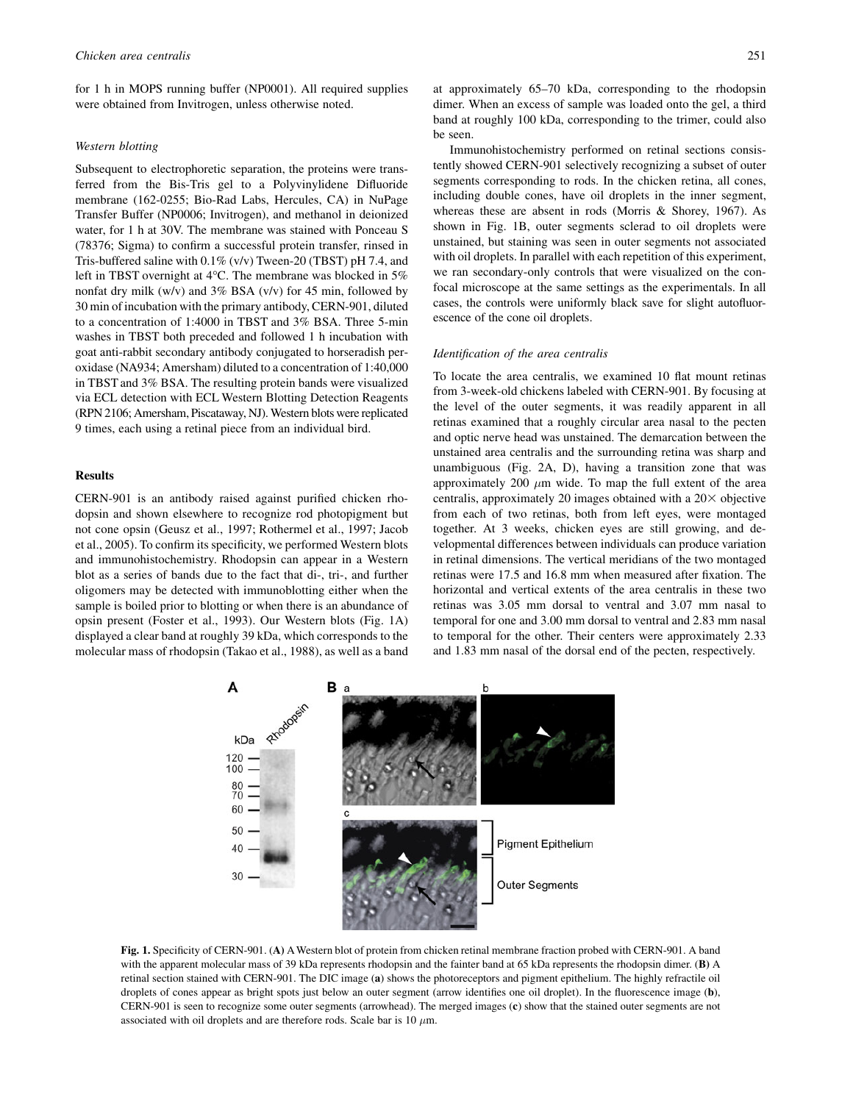for 1 h in MOPS running buffer (NP0001). All required supplies were obtained from Invitrogen, unless otherwise noted.

## Western blotting

Subsequent to electrophoretic separation, the proteins were transferred from the Bis-Tris gel to a Polyvinylidene Difluoride membrane (162-0255; Bio-Rad Labs, Hercules, CA) in NuPage Transfer Buffer (NP0006; Invitrogen), and methanol in deionized water, for 1 h at 30V. The membrane was stained with Ponceau S (78376; Sigma) to confirm a successful protein transfer, rinsed in Tris-buffered saline with 0.1% (v/v) Tween-20 (TBST) pH 7.4, and left in TBST overnight at 4°C. The membrane was blocked in 5% nonfat dry milk (w/v) and 3% BSA (v/v) for 45 min, followed by 30 min of incubation with the primary antibody, CERN-901, diluted to a concentration of 1:4000 in TBST and 3% BSA. Three 5-min washes in TBST both preceded and followed 1 h incubation with goat anti-rabbit secondary antibody conjugated to horseradish peroxidase (NA934; Amersham) diluted to a concentration of 1:40,000 in TBST and 3% BSA. The resulting protein bands were visualized via ECL detection with ECL Western Blotting Detection Reagents (RPN 2106; Amersham, Piscataway, NJ). Western blots were replicated 9 times, each using a retinal piece from an individual bird.

## Results

CERN-901 is an antibody raised against purified chicken rhodopsin and shown elsewhere to recognize rod photopigment but not cone opsin (Geusz et al., 1997; Rothermel et al., 1997; Jacob et al., 2005). To confirm its specificity, we performed Western blots and immunohistochemistry. Rhodopsin can appear in a Western blot as a series of bands due to the fact that di-, tri-, and further oligomers may be detected with immunoblotting either when the sample is boiled prior to blotting or when there is an abundance of opsin present (Foster et al., 1993). Our Western blots (Fig. 1A) displayed a clear band at roughly 39 kDa, which corresponds to the molecular mass of rhodopsin (Takao et al., 1988), as well as a band at approximately 65–70 kDa, corresponding to the rhodopsin dimer. When an excess of sample was loaded onto the gel, a third band at roughly 100 kDa, corresponding to the trimer, could also be seen.

Immunohistochemistry performed on retinal sections consistently showed CERN-901 selectively recognizing a subset of outer segments corresponding to rods. In the chicken retina, all cones, including double cones, have oil droplets in the inner segment, whereas these are absent in rods (Morris & Shorey, 1967). As shown in Fig. 1B, outer segments sclerad to oil droplets were unstained, but staining was seen in outer segments not associated with oil droplets. In parallel with each repetition of this experiment, we ran secondary-only controls that were visualized on the confocal microscope at the same settings as the experimentals. In all cases, the controls were uniformly black save for slight autofluorescence of the cone oil droplets.

## Identification of the area centralis

To locate the area centralis, we examined 10 flat mount retinas from 3-week-old chickens labeled with CERN-901. By focusing at the level of the outer segments, it was readily apparent in all retinas examined that a roughly circular area nasal to the pecten and optic nerve head was unstained. The demarcation between the unstained area centralis and the surrounding retina was sharp and unambiguous (Fig. 2A, D), having a transition zone that was approximately 200  $\mu$ m wide. To map the full extent of the area centralis, approximately 20 images obtained with a  $20\times$  objective from each of two retinas, both from left eyes, were montaged together. At 3 weeks, chicken eyes are still growing, and developmental differences between individuals can produce variation in retinal dimensions. The vertical meridians of the two montaged retinas were 17.5 and 16.8 mm when measured after fixation. The horizontal and vertical extents of the area centralis in these two retinas was 3.05 mm dorsal to ventral and 3.07 mm nasal to temporal for one and 3.00 mm dorsal to ventral and 2.83 mm nasal to temporal for the other. Their centers were approximately 2.33 and 1.83 mm nasal of the dorsal end of the pecten, respectively.



Fig. 1. Specificity of CERN-901. (A) AWestern blot of protein from chicken retinal membrane fraction probed with CERN-901. A band with the apparent molecular mass of 39 kDa represents rhodopsin and the fainter band at 65 kDa represents the rhodopsin dimer. (B) A retinal section stained with CERN-901. The DIC image (a) shows the photoreceptors and pigment epithelium. The highly refractile oil droplets of cones appear as bright spots just below an outer segment (arrow identifies one oil droplet). In the fluorescence image (b), CERN-901 is seen to recognize some outer segments (arrowhead). The merged images (c) show that the stained outer segments are not associated with oil droplets and are therefore rods. Scale bar is 10  $\mu$ m.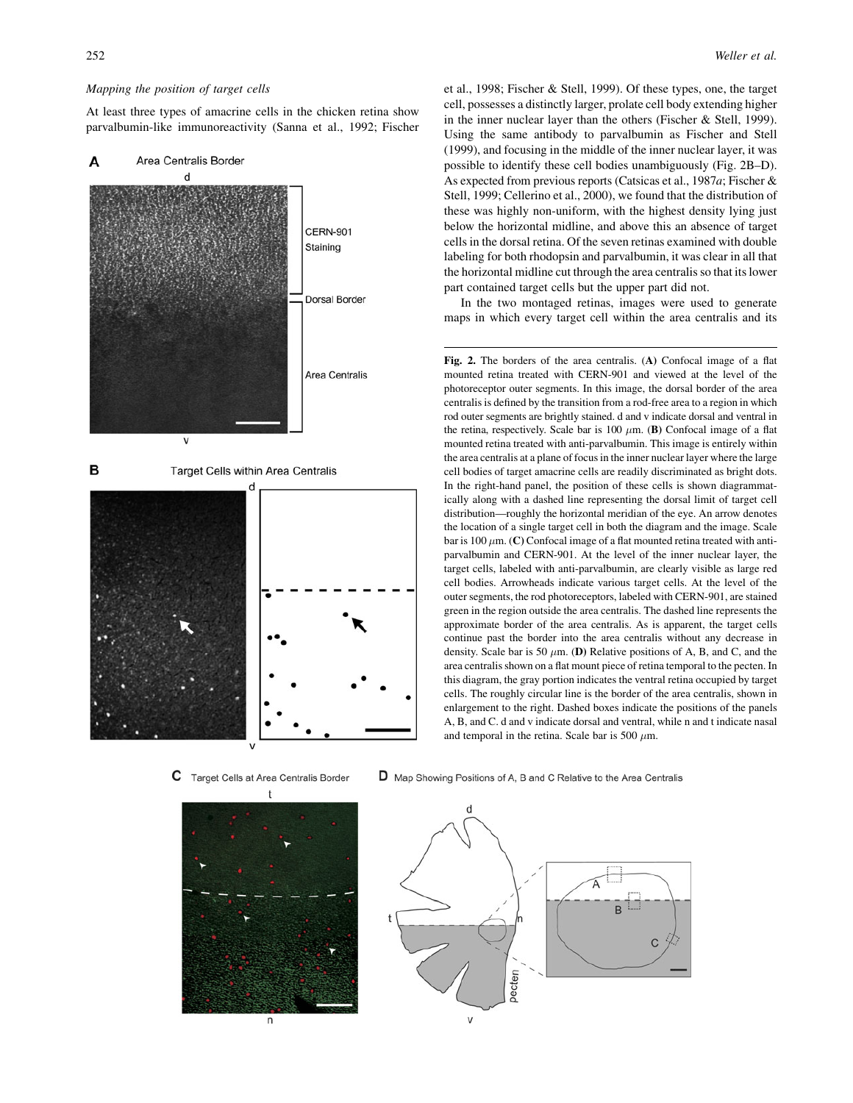## Mapping the position of target cells

At least three types of amacrine cells in the chicken retina show parvalbumin-like immunoreactivity (Sanna et al., 1992; Fischer



C Target Cells at Area Centralis Border



et al., 1998; Fischer & Stell, 1999). Of these types, one, the target cell, possesses a distinctly larger, prolate cell body extending higher in the inner nuclear layer than the others (Fischer & Stell, 1999). Using the same antibody to parvalbumin as Fischer and Stell (1999), and focusing in the middle of the inner nuclear layer, it was possible to identify these cell bodies unambiguously (Fig. 2B–D). As expected from previous reports (Catsicas et al., 1987a; Fischer & Stell, 1999; Cellerino et al., 2000), we found that the distribution of these was highly non-uniform, with the highest density lying just below the horizontal midline, and above this an absence of target cells in the dorsal retina. Of the seven retinas examined with double labeling for both rhodopsin and parvalbumin, it was clear in all that the horizontal midline cut through the area centralis so that its lower part contained target cells but the upper part did not.

In the two montaged retinas, images were used to generate maps in which every target cell within the area centralis and its

Fig. 2. The borders of the area centralis. (A) Confocal image of a flat mounted retina treated with CERN-901 and viewed at the level of the photoreceptor outer segments. In this image, the dorsal border of the area centralis is defined by the transition from a rod-free area to a region in which rod outer segments are brightly stained. d and v indicate dorsal and ventral in the retina, respectively. Scale bar is 100  $\mu$ m. (B) Confocal image of a flat mounted retina treated with anti-parvalbumin. This image is entirely within the area centralis at a plane of focus in the inner nuclear layer where the large cell bodies of target amacrine cells are readily discriminated as bright dots. In the right-hand panel, the position of these cells is shown diagrammatically along with a dashed line representing the dorsal limit of target cell distribution—roughly the horizontal meridian of the eye. An arrow denotes the location of a single target cell in both the diagram and the image. Scale bar is 100  $\mu$ m. (C) Confocal image of a flat mounted retina treated with antiparvalbumin and CERN-901. At the level of the inner nuclear layer, the target cells, labeled with anti-parvalbumin, are clearly visible as large red cell bodies. Arrowheads indicate various target cells. At the level of the outer segments, the rod photoreceptors, labeled with CERN-901, are stained green in the region outside the area centralis. The dashed line represents the approximate border of the area centralis. As is apparent, the target cells continue past the border into the area centralis without any decrease in density. Scale bar is 50  $\mu$ m. (D) Relative positions of A, B, and C, and the area centralis shown on a flat mount piece of retina temporal to the pecten. In this diagram, the gray portion indicates the ventral retina occupied by target cells. The roughly circular line is the border of the area centralis, shown in enlargement to the right. Dashed boxes indicate the positions of the panels A, B, and C. d and v indicate dorsal and ventral, while n and t indicate nasal and temporal in the retina. Scale bar is 500  $\mu$ m.

D Map Showing Positions of A, B and C Relative to the Area Centralis

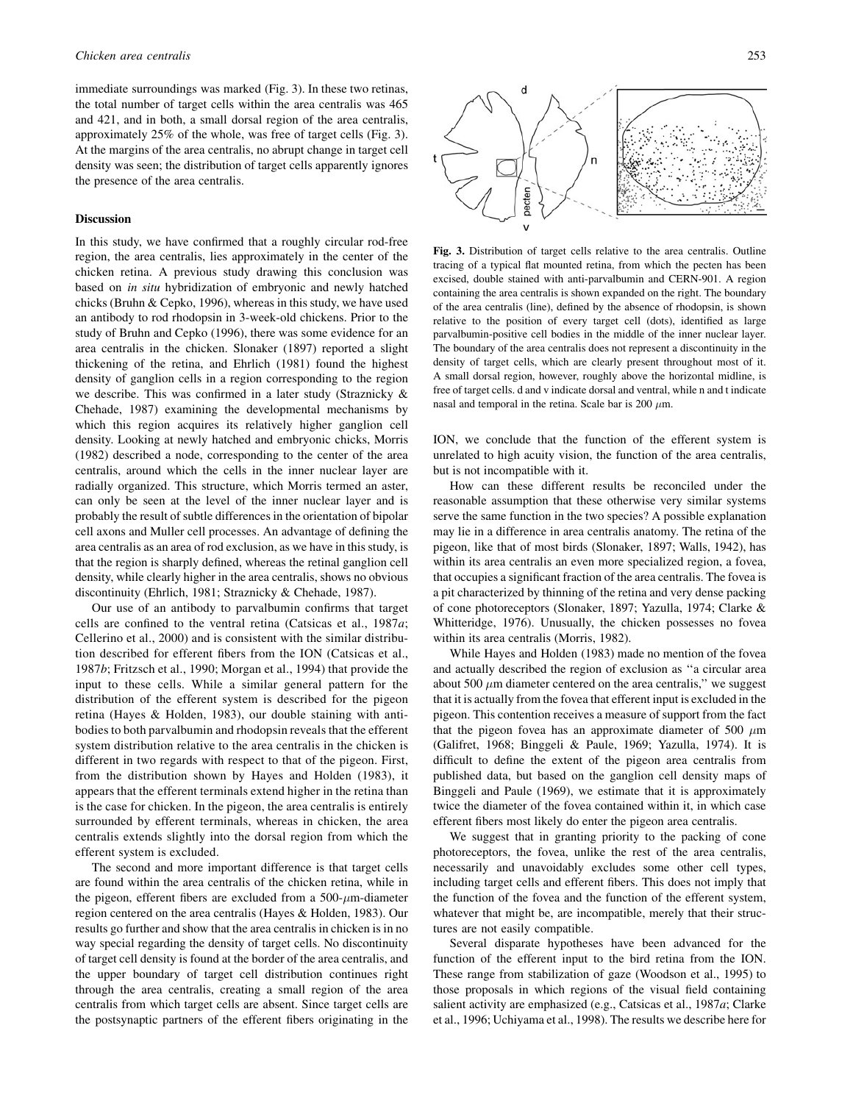immediate surroundings was marked (Fig. 3). In these two retinas, the total number of target cells within the area centralis was 465 and 421, and in both, a small dorsal region of the area centralis, approximately 25% of the whole, was free of target cells (Fig. 3). At the margins of the area centralis, no abrupt change in target cell density was seen; the distribution of target cells apparently ignores the presence of the area centralis.

## Discussion

In this study, we have confirmed that a roughly circular rod-free region, the area centralis, lies approximately in the center of the chicken retina. A previous study drawing this conclusion was based on in situ hybridization of embryonic and newly hatched chicks (Bruhn & Cepko, 1996), whereas in this study, we have used an antibody to rod rhodopsin in 3-week-old chickens. Prior to the study of Bruhn and Cepko (1996), there was some evidence for an area centralis in the chicken. Slonaker (1897) reported a slight thickening of the retina, and Ehrlich (1981) found the highest density of ganglion cells in a region corresponding to the region we describe. This was confirmed in a later study (Straznicky & Chehade, 1987) examining the developmental mechanisms by which this region acquires its relatively higher ganglion cell density. Looking at newly hatched and embryonic chicks, Morris (1982) described a node, corresponding to the center of the area centralis, around which the cells in the inner nuclear layer are radially organized. This structure, which Morris termed an aster, can only be seen at the level of the inner nuclear layer and is probably the result of subtle differences in the orientation of bipolar cell axons and Muller cell processes. An advantage of defining the area centralis as an area of rod exclusion, as we have in this study, is that the region is sharply defined, whereas the retinal ganglion cell density, while clearly higher in the area centralis, shows no obvious discontinuity (Ehrlich, 1981; Straznicky & Chehade, 1987).

Our use of an antibody to parvalbumin confirms that target cells are confined to the ventral retina (Catsicas et al., 1987a; Cellerino et al., 2000) and is consistent with the similar distribution described for efferent fibers from the ION (Catsicas et al., 1987b; Fritzsch et al., 1990; Morgan et al., 1994) that provide the input to these cells. While a similar general pattern for the distribution of the efferent system is described for the pigeon retina (Hayes & Holden, 1983), our double staining with antibodies to both parvalbumin and rhodopsin reveals that the efferent system distribution relative to the area centralis in the chicken is different in two regards with respect to that of the pigeon. First, from the distribution shown by Hayes and Holden (1983), it appears that the efferent terminals extend higher in the retina than is the case for chicken. In the pigeon, the area centralis is entirely surrounded by efferent terminals, whereas in chicken, the area centralis extends slightly into the dorsal region from which the efferent system is excluded.

The second and more important difference is that target cells are found within the area centralis of the chicken retina, while in the pigeon, efferent fibers are excluded from a  $500-\mu$ m-diameter region centered on the area centralis (Hayes & Holden, 1983). Our results go further and show that the area centralis in chicken is in no way special regarding the density of target cells. No discontinuity of target cell density is found at the border of the area centralis, and the upper boundary of target cell distribution continues right through the area centralis, creating a small region of the area centralis from which target cells are absent. Since target cells are the postsynaptic partners of the efferent fibers originating in the



Fig. 3. Distribution of target cells relative to the area centralis. Outline tracing of a typical flat mounted retina, from which the pecten has been excised, double stained with anti-parvalbumin and CERN-901. A region containing the area centralis is shown expanded on the right. The boundary of the area centralis (line), defined by the absence of rhodopsin, is shown relative to the position of every target cell (dots), identified as large parvalbumin-positive cell bodies in the middle of the inner nuclear layer. The boundary of the area centralis does not represent a discontinuity in the density of target cells, which are clearly present throughout most of it. A small dorsal region, however, roughly above the horizontal midline, is free of target cells. d and v indicate dorsal and ventral, while n and t indicate nasal and temporal in the retina. Scale bar is 200  $\mu$ m.

ION, we conclude that the function of the efferent system is unrelated to high acuity vision, the function of the area centralis, but is not incompatible with it.

How can these different results be reconciled under the reasonable assumption that these otherwise very similar systems serve the same function in the two species? A possible explanation may lie in a difference in area centralis anatomy. The retina of the pigeon, like that of most birds (Slonaker, 1897; Walls, 1942), has within its area centralis an even more specialized region, a fovea, that occupies a significant fraction of the area centralis. The fovea is a pit characterized by thinning of the retina and very dense packing of cone photoreceptors (Slonaker, 1897; Yazulla, 1974; Clarke & Whitteridge, 1976). Unusually, the chicken possesses no fovea within its area centralis (Morris, 1982).

While Hayes and Holden (1983) made no mention of the fovea and actually described the region of exclusion as ''a circular area about 500  $\mu$ m diameter centered on the area centralis," we suggest that it is actually from the fovea that efferent input is excluded in the pigeon. This contention receives a measure of support from the fact that the pigeon fovea has an approximate diameter of 500  $\mu$ m (Galifret, 1968; Binggeli & Paule, 1969; Yazulla, 1974). It is difficult to define the extent of the pigeon area centralis from published data, but based on the ganglion cell density maps of Binggeli and Paule (1969), we estimate that it is approximately twice the diameter of the fovea contained within it, in which case efferent fibers most likely do enter the pigeon area centralis.

We suggest that in granting priority to the packing of cone photoreceptors, the fovea, unlike the rest of the area centralis, necessarily and unavoidably excludes some other cell types, including target cells and efferent fibers. This does not imply that the function of the fovea and the function of the efferent system, whatever that might be, are incompatible, merely that their structures are not easily compatible.

Several disparate hypotheses have been advanced for the function of the efferent input to the bird retina from the ION. These range from stabilization of gaze (Woodson et al., 1995) to those proposals in which regions of the visual field containing salient activity are emphasized (e.g., Catsicas et al., 1987a; Clarke et al., 1996; Uchiyama et al., 1998). The results we describe here for